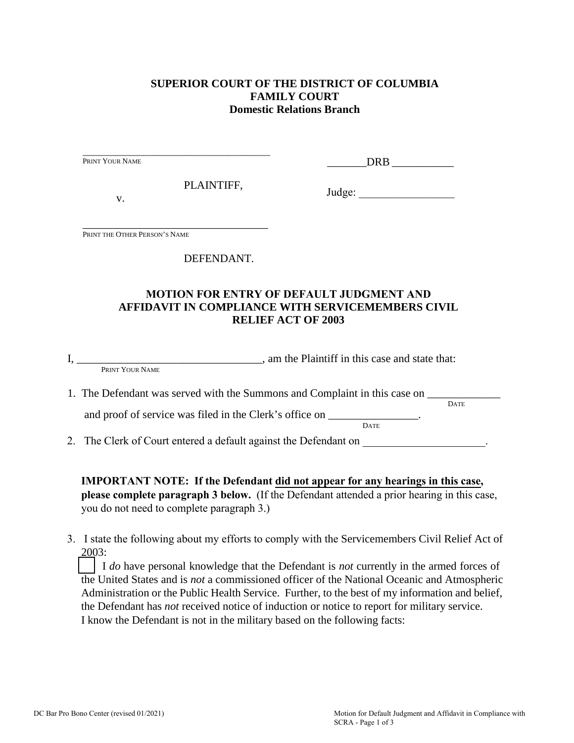# **SUPERIOR COURT OF THE DISTRICT OF COLUMBIA FAMILY COURT Domestic Relations Branch**

| PRINT YOUR NAME               |            |                                                                                                                                                                                                                                                                                                          |
|-------------------------------|------------|----------------------------------------------------------------------------------------------------------------------------------------------------------------------------------------------------------------------------------------------------------------------------------------------------------|
| V.                            | PLAINTIFF, |                                                                                                                                                                                                                                                                                                          |
| PRINT THE OTHER PERSON'S NAME |            |                                                                                                                                                                                                                                                                                                          |
|                               | DEFENDANT. |                                                                                                                                                                                                                                                                                                          |
|                               |            | <b>MOTION FOR ENTRY OF DEFAULT JUDGMENT AND</b><br><b>AFFIDAVIT IN COMPLIANCE WITH SERVICEMEMBERS CIVIL</b><br><b>RELIEF ACT OF 2003</b>                                                                                                                                                                 |
| PRINT YOUR NAME               |            |                                                                                                                                                                                                                                                                                                          |
|                               |            | 1. The Defendant was served with the Summons and Complaint in this case on _________________________<br><b>DATE</b><br>and proof of service was filed in the Clerk's office on _______________.<br><b>DATE</b><br>2. The Clerk of Court entered a default against the Defendant on ____________________. |
|                               |            | <b>IMPORTANT NOTE:</b> If the Defendant did not appear for any hearings in this case,                                                                                                                                                                                                                    |

**please complete paragraph 3 below.** (If the Defendant attended a prior hearing in this case, you do not need to complete paragraph 3.)

3. I state the following about my efforts to comply with the Servicemembers Civil Relief Act of 2003:

 I *do* have personal knowledge that the Defendant is *not* currently in the armed forces of the United States and is *not* a commissioned officer of the National Oceanic and Atmospheric Administration or the Public Health Service. Further, to the best of my information and belief, the Defendant has *not* received notice of induction or notice to report for military service. I know the Defendant is not in the military based on the following facts: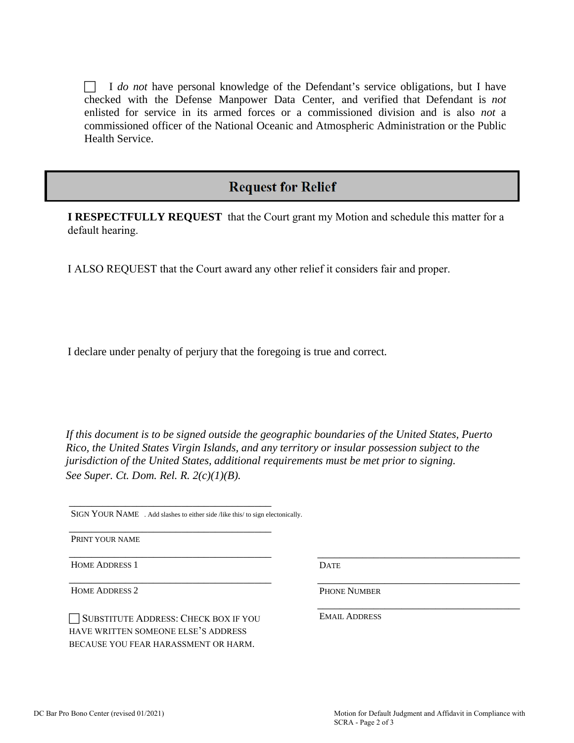I *do not* have personal knowledge of the Defendant's service obligations, but I have checked with the Defense Manpower Data Center, and verified that Defendant is *not* enlisted for service in its armed forces or a commissioned division and is also *not* a commissioned officer of the National Oceanic and Atmospheric Administration or the Public Health Service.

# **Request for Relief**

**I RESPECTFULLY REQUEST** that the Court grant my Motion and schedule this matter for a default hearing.

I ALSO REQUEST that the Court award any other relief it considers fair and proper.

I declare under penalty of perjury that the foregoing is true and correct*.* 

*If this document is to be signed outside the geographic boundaries of the United States, Puerto Rico, the United States Virgin Islands, and any territory or insular possession subject to the jurisdiction of the United States, additional requirements must be met prior to signing. See Super. Ct. Dom. Rel. R. 2(c)(1)(B).* 

SIGN YOUR NAME . Add slashes to either side /like this/ to sign electonically.

\_\_\_\_\_\_\_\_\_\_\_\_\_\_\_\_\_\_\_\_\_\_\_\_\_\_\_\_\_\_\_\_\_\_\_\_

\_\_\_\_\_\_\_\_\_\_\_\_\_\_\_\_\_\_\_\_\_\_\_\_\_\_\_\_\_\_\_\_\_\_\_\_

\_\_\_\_\_\_\_\_\_\_\_\_\_\_\_\_\_\_\_\_\_\_\_\_\_\_\_\_\_\_\_\_\_\_\_\_

\_\_\_\_\_\_\_\_\_\_\_\_\_\_\_\_\_\_\_\_\_\_\_\_\_\_\_\_\_\_\_\_\_\_\_\_

PRINT YOUR NAME

HOME ADDRESS 1

HOME ADDRESS 2

SUBSTITUTE ADDRESS: CHECK BOX IF YOU HAVE WRITTEN SOMEONE ELSE'S ADDRESS BECAUSE YOU FEAR HARASSMENT OR HARM.

**DATE** 

PHONE NUMBER

\_\_\_\_\_\_\_\_\_\_\_\_\_\_\_\_\_\_\_\_\_\_\_\_\_\_\_\_\_\_\_\_\_\_\_\_ EMAIL ADDRESS

\_\_\_\_\_\_\_\_\_\_\_\_\_\_\_\_\_\_\_\_\_\_\_\_\_\_\_\_\_\_\_\_\_\_\_\_

\_\_\_\_\_\_\_\_\_\_\_\_\_\_\_\_\_\_\_\_\_\_\_\_\_\_\_\_\_\_\_\_\_\_\_\_